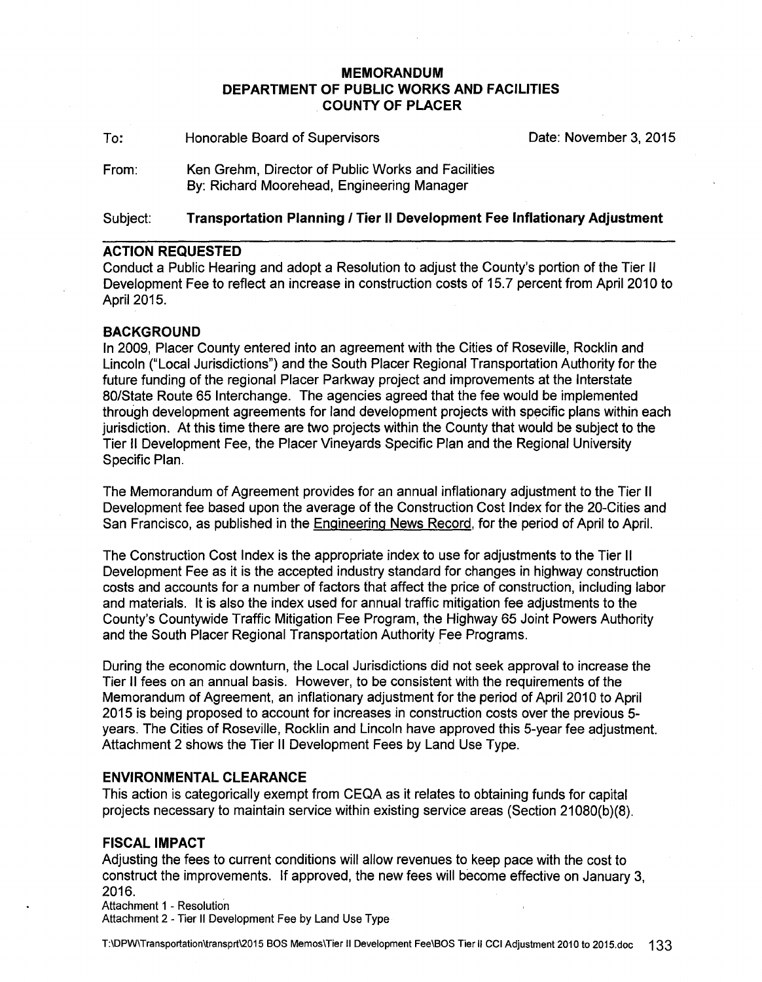## **MEMORANDUM DEPARTMENT OF PUBLIC WORKS AND FACILITIES COUNTY OF PLACER**

To: From: Honorable Board of Supervisors Ken Grehm, Director of Public Works and Facilities By: Richard Moorehead, Engineering Manager Date: November 3, 2015

## Subject: **Transportation Planning I Tier II Development Fee Inflationary Adjustment**

#### **ACTION REQUESTED**

Conduct a Public Hearing and adopt a Resolution to adjust the County's portion of the Tier II Development Fee to reflect an increase in construction costs of 15.7 percent from April 2010 to April 2015.

### **BACKGROUND**

In 2009, Placer County entered into an agreement with the Cities of Roseville, Rocklin and Lincoln ("Local Jurisdictions") and the South Placer Regional Transportation Authority for the future funding of the regional Placer Parkway project and improvements at the Interstate 80/State Route 65 Interchange. The agencies agreed that the fee would be implemented through development agreements for land development projects with specific plans within each jurisdiction. At this time there are two projects within the County that would be subject to the Tier II Development Fee, the Placer Vineyards Specific Plan and the Regional University Specific Plan.

The Memorandum of Agreement provides for an annual inflationary adjustment to the Tier II Development fee based upon the average of the Construction Cost Index for the 20-Cities and San Francisco, as published in the Engineering News Record, for the period of April to April.

The Construction Cost Index is the appropriate index to use for adjustments to the Tier II Development Fee as it is the accepted industry standard for changes in highway construction costs and accounts for a number of factors that affect the price of construction, including labor and materials. It is also the index used for annual traffic mitigation fee adjustments to the County's Countywide Traffic Mitigation Fee Program, the Highway 65 Joint Powers Authority and the South Placer Regional Transportation Authority Fee Programs.

During the economic downturn, the Local Jurisdictions did not seek approval to increase the Tier II fees on an annual basis. However, to be consistent with the requirements of the Memorandum of Agreement, an inflationary adjustment for the period of April 2010 to April 2015 is being proposed to account for increases in construction costs over the previous 5 years. The Cities of Roseville, Rocklin and Lincoln have approved this 5-year fee adjustment. Attachment 2 shows the Tier II Development Fees by Land Use Type.

#### **ENVIRONMENTAL CLEARANCE**

This action is categorically exempt from CEQA as it relates to obtaining funds for capital projects necessary to maintain service within existing service areas (Section 21080(b)(8).

#### **FISCAL IMPACT**

Adjusting the fees to current conditions will allow revenues to keep pace with the cost to construct the improvements. If approved, the new fees will become effective on January 3, 2016.

Attachment 1 - Resolution

Attachment 2 - Tier II Development Fee by Land Use Type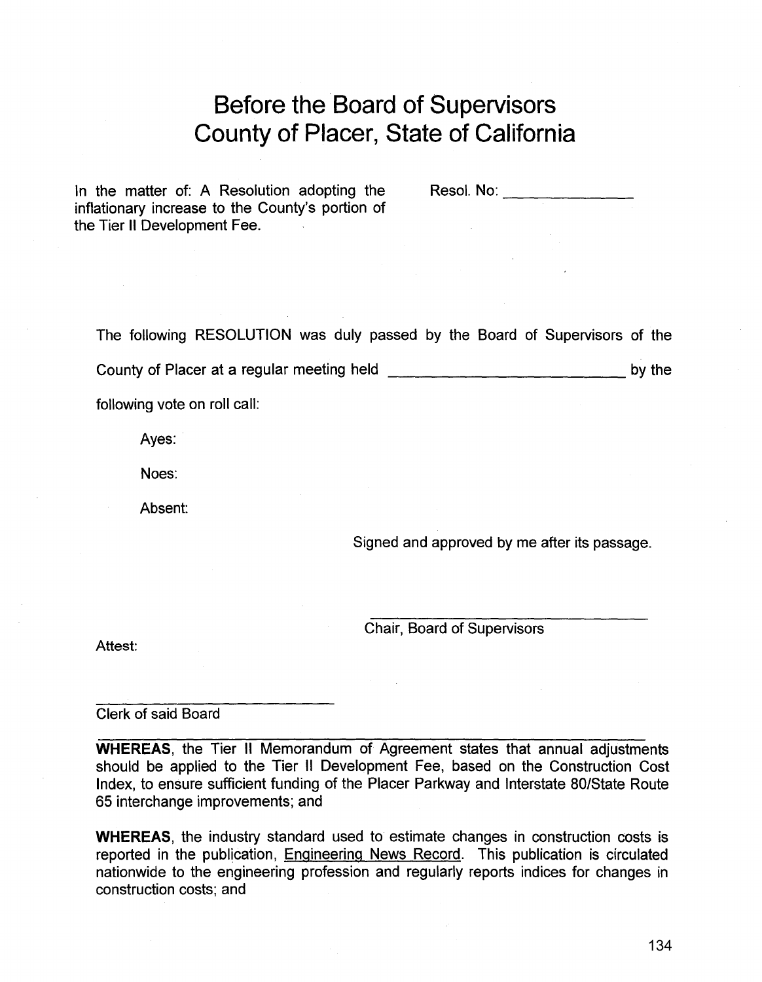# **Before the Board of Supervisors County of Placer, State of California**

In the matter of: A Resolution adopting the inflationary increase to the County's portion of the Tier II Development Fee.

Resol. No: **We are all that the set of the set of the set of the set of the set of the set of the set of the set of the set of the set of the set of the set of the set of the set of the set of the set of the set of the set** 

The following RESOLUTION was duly passed by the Board of Supervisors of the

County of Placer at a regular meeting held \_\_\_\_\_\_\_\_\_\_\_\_\_\_\_\_\_\_\_\_\_\_\_\_\_\_\_ by the

following vote on roll call:

Ayes:

Noes:

Absent:

Signed and approved by me after its passage.

Chair, Board of Supervisors

Attest:

Clerk of said Board

**WHEREAS,** the Tier II Memorandum of Agreement states that annual adjustments should be applied to the Tier II Development Fee, based on the Construction Cost Index, to ensure sufficient funding of the Placer Parkway and Interstate 80/State Route 65 interchange improvements; and

**WHEREAS,** the industry standard used to estimate changes in construction costs is reported in the publication, Engineering News Record. This publication is circulated nationwide to the engineering profession and regularly reports indices for changes in construction costs; and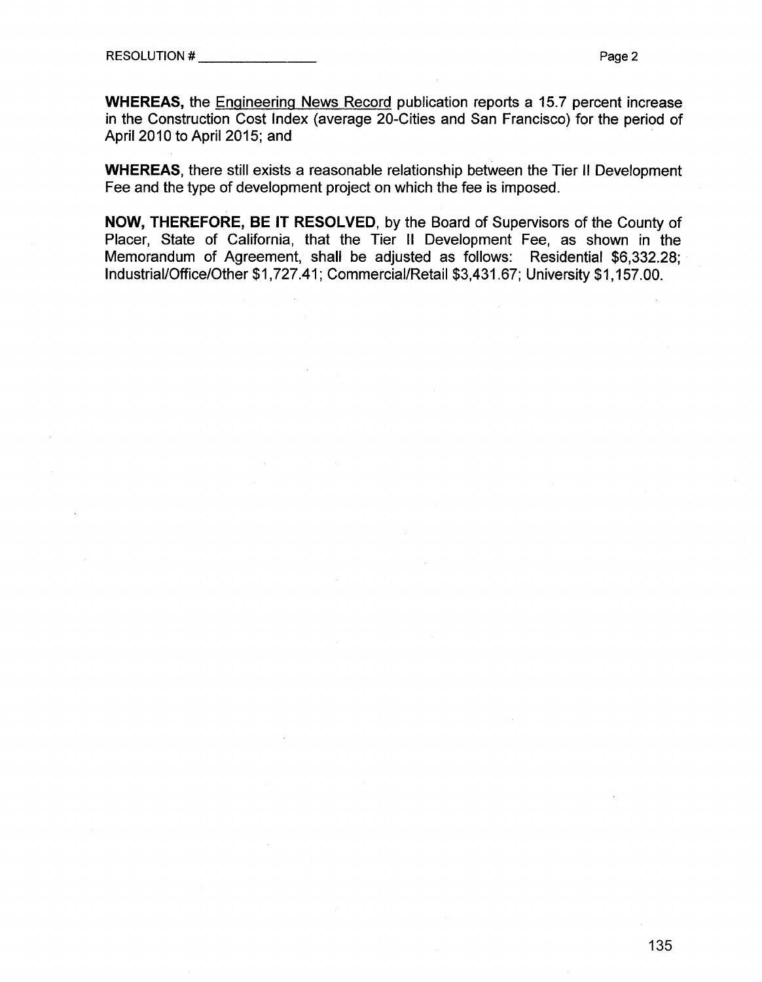**WHEREAS,** the Engineering News Record publication reports a 15.7 percent increase in the Construction Cost Index (average 20-Cities and San Francisco) for the period of April2010 to April 2015; and

**WHEREAS,** there still exists a reasonable relationship between the Tier II Development Fee and the type of development project on which the fee is imposed.

**NOW, THEREFORE, BE IT RESOLVED,** by the Board of Supervisors of the County of Placer, State of California, that the Tier II Development Fee, as shown in the Memorandum of Agreement, shall be adjusted as follows: Residential \$6,332.28; Industrial/Office/Other \$1,727.41; Commercial/Retail \$3,431.67; University \$1,157 .00.